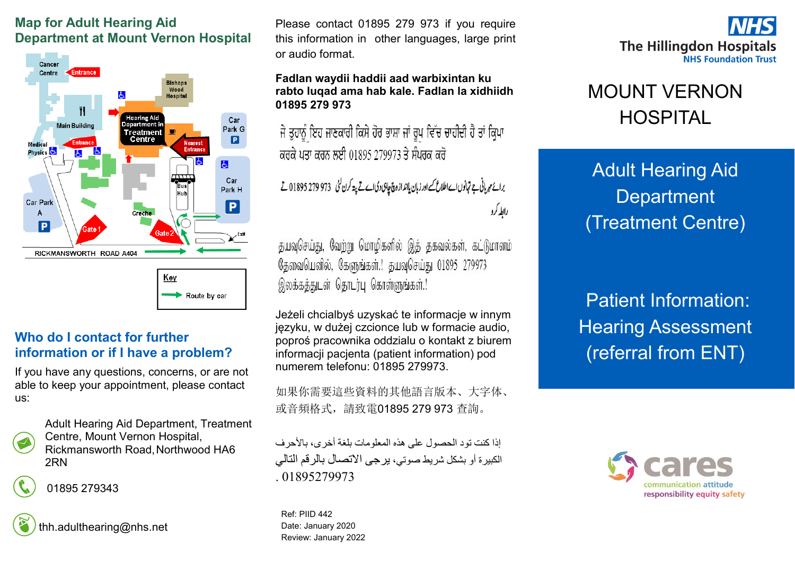## **Map for Adult Hearing Aid Department at Mount Vernon Hospital**



## **Who do I contact for further information or if I have a problem?**

If you have any questions, concerns, or are not able to keep your appointment, please contact us:



Adult Hearing Aid Department, Treatment Centre, Mount Vernon Hospital, Rickmansworth Road,Northwood HA6 2RN

01895 279343

thh.adulthearing@nhs.net

Please contact 01895 279 973 if you require this information in other languages, large print or audio format.

#### **Fadlan waydii haddii aad warbixintan ku rabto luqad ama hab kale. Fadlan la xidhiidh 01895 279 973**

ਜੇ ਤੁਹਾਨੂੰ ਇਹ ਜਾਣਕਾਰੀ ਕਿਸੇ ਹੋਰ ਭਾਸ਼ਾ ਜਾਂ ਰੂਪ ਵਿੱਚ ਚਾਹੀਦੀ ਹੈ ਤਾਂ ਕ੍ਰਿਪਾ ਕਰਕੇ ਪਤਾ ਕਰਨ ਲਈ 01895 279973 ਤੇ ਸੰਪਰਕ ਕਰੋ

برائع مہربانی ہے تہانوں اے اطلاع کے اور زبان یاانداز وچ چاہی دی اے تے پتہ کرن گئی ۔973 279 279 1895 تے رابطه کرد

தயவுசெய்து, வேற்று மொழிகளில் இத் தகவல்கள், கட்டுமானம் தேவையெனில், கேளுங்கள்.! தயவுசெய்து 01895 279973 இலக்கத்துடன் தொடர்பு கொள்ளுங்கள்.!

Jeżeli chcialbyś uzyskać te informacje w innym języku, w dużej czcionce lub w formacie audio, poproś pracownika oddzialu o kontakt z biurem informacji pacjenta (patient information) pod numerem telefonu: 01895 279973.

如果你需要這些資料的其他語言版本、大字体、 或音頻格式,請致電01895 279 973 查詢。

إذا كنت تود الحصول على هذه المعلومات بلغة أخرى، بالأحرف الكبيرة أو بشكل شريط صوتي، يرجى االتصال بالرقم التالي 01895279973

Ref: PIID 442 Date: January 2020 Review: January 2022



# MOUNT VERNON HOSPITAL

Adult Hearing Aid **Department** (Treatment Centre)

Patient Information: Hearing Assessment (referral from ENT)